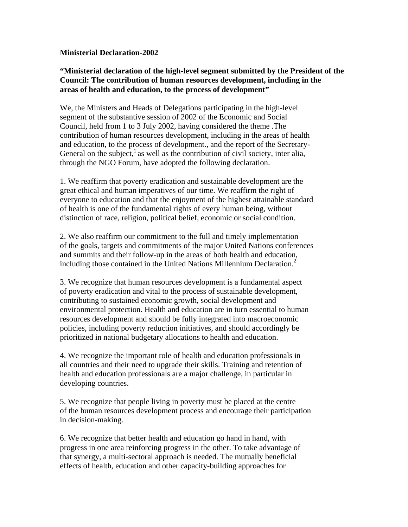## **Ministerial Declaration-2002**

## **"Ministerial declaration of the high-level segment submitted by the President of the Council: The contribution of human resources development, including in the areas of health and education, to the process of development"**

We, the Ministers and Heads of Delegations participating in the high-level segment of the substantive session of 2002 of the Economic and Social Council, held from 1 to 3 July 2002, having considered the theme .The contribution of human resources development, including in the areas of health and education, to the process of development., and the report of the Secretary-General on the subject,<sup>1</sup> as well as the contribution of civil society, inter alia, through the NGO Forum, have adopted the following declaration.

1. We reaffirm that poverty eradication and sustainable development are the great ethical and human imperatives of our time. We reaffirm the right of everyone to education and that the enjoyment of the highest attainable standard of health is one of the fundamental rights of every human being, without distinction of race, religion, political belief, economic or social condition.

2. We also reaffirm our commitment to the full and timely implementation of the goals, targets and commitments of the major United Nations conferences and summits and their follow-up in the areas of both health and education, including those contained in the United Nations Millennium Declaration.<sup>2</sup>

3. We recognize that human resources development is a fundamental aspect of poverty eradication and vital to the process of sustainable development, contributing to sustained economic growth, social development and environmental protection. Health and education are in turn essential to human resources development and should be fully integrated into macroeconomic policies, including poverty reduction initiatives, and should accordingly be prioritized in national budgetary allocations to health and education.

4. We recognize the important role of health and education professionals in all countries and their need to upgrade their skills. Training and retention of health and education professionals are a major challenge, in particular in developing countries.

5. We recognize that people living in poverty must be placed at the centre of the human resources development process and encourage their participation in decision-making.

6. We recognize that better health and education go hand in hand, with progress in one area reinforcing progress in the other. To take advantage of that synergy, a multi-sectoral approach is needed. The mutually beneficial effects of health, education and other capacity-building approaches for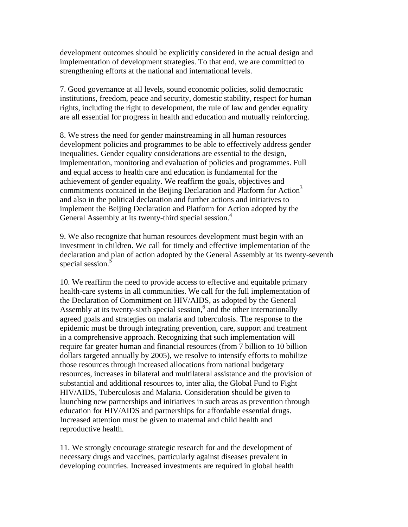development outcomes should be explicitly considered in the actual design and implementation of development strategies. To that end, we are committed to strengthening efforts at the national and international levels.

7. Good governance at all levels, sound economic policies, solid democratic institutions, freedom, peace and security, domestic stability, respect for human rights, including the right to development, the rule of law and gender equality are all essential for progress in health and education and mutually reinforcing.

8. We stress the need for gender mainstreaming in all human resources development policies and programmes to be able to effectively address gender inequalities. Gender equality considerations are essential to the design, implementation, monitoring and evaluation of policies and programmes. Full and equal access to health care and education is fundamental for the achievement of gender equality. We reaffirm the goals, objectives and commitments contained in the Beijing Declaration and Platform for Action<sup>3</sup> and also in the political declaration and further actions and initiatives to implement the Beijing Declaration and Platform for Action adopted by the General Assembly at its twenty-third special session.<sup>4</sup>

9. We also recognize that human resources development must begin with an investment in children. We call for timely and effective implementation of the declaration and plan of action adopted by the General Assembly at its twenty-seventh special session.<sup>5</sup>

10. We reaffirm the need to provide access to effective and equitable primary health-care systems in all communities. We call for the full implementation of the Declaration of Commitment on HIV/AIDS, as adopted by the General Assembly at its twenty-sixth special session, $6$  and the other internationally agreed goals and strategies on malaria and tuberculosis. The response to the epidemic must be through integrating prevention, care, support and treatment in a comprehensive approach. Recognizing that such implementation will require far greater human and financial resources (from 7 billion to 10 billion dollars targeted annually by 2005), we resolve to intensify efforts to mobilize those resources through increased allocations from national budgetary resources, increases in bilateral and multilateral assistance and the provision of substantial and additional resources to, inter alia, the Global Fund to Fight HIV/AIDS, Tuberculosis and Malaria. Consideration should be given to launching new partnerships and initiatives in such areas as prevention through education for HIV/AIDS and partnerships for affordable essential drugs. Increased attention must be given to maternal and child health and reproductive health.

11. We strongly encourage strategic research for and the development of necessary drugs and vaccines, particularly against diseases prevalent in developing countries. Increased investments are required in global health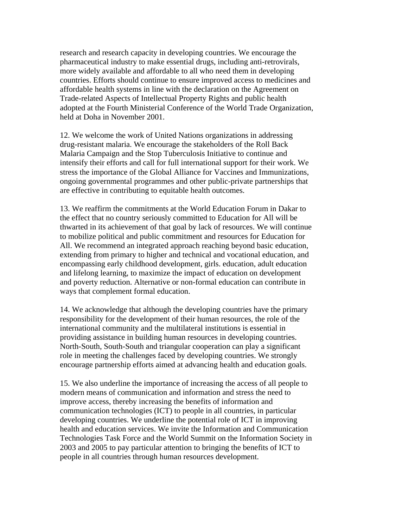research and research capacity in developing countries. We encourage the pharmaceutical industry to make essential drugs, including anti-retrovirals, more widely available and affordable to all who need them in developing countries. Efforts should continue to ensure improved access to medicines and affordable health systems in line with the declaration on the Agreement on Trade-related Aspects of Intellectual Property Rights and public health adopted at the Fourth Ministerial Conference of the World Trade Organization, held at Doha in November 2001.

12. We welcome the work of United Nations organizations in addressing drug-resistant malaria. We encourage the stakeholders of the Roll Back Malaria Campaign and the Stop Tuberculosis Initiative to continue and intensify their efforts and call for full international support for their work. We stress the importance of the Global Alliance for Vaccines and Immunizations, ongoing governmental programmes and other public-private partnerships that are effective in contributing to equitable health outcomes.

13. We reaffirm the commitments at the World Education Forum in Dakar to the effect that no country seriously committed to Education for All will be thwarted in its achievement of that goal by lack of resources. We will continue to mobilize political and public commitment and resources for Education for All. We recommend an integrated approach reaching beyond basic education, extending from primary to higher and technical and vocational education, and encompassing early childhood development, girls. education, adult education and lifelong learning, to maximize the impact of education on development and poverty reduction. Alternative or non-formal education can contribute in ways that complement formal education.

14. We acknowledge that although the developing countries have the primary responsibility for the development of their human resources, the role of the international community and the multilateral institutions is essential in providing assistance in building human resources in developing countries. North-South, South-South and triangular cooperation can play a significant role in meeting the challenges faced by developing countries. We strongly encourage partnership efforts aimed at advancing health and education goals.

15. We also underline the importance of increasing the access of all people to modern means of communication and information and stress the need to improve access, thereby increasing the benefits of information and communication technologies (ICT) to people in all countries, in particular developing countries. We underline the potential role of ICT in improving health and education services. We invite the Information and Communication Technologies Task Force and the World Summit on the Information Society in 2003 and 2005 to pay particular attention to bringing the benefits of ICT to people in all countries through human resources development.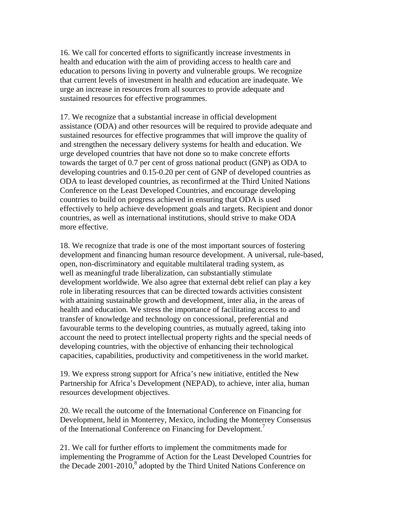16. We call for concerted efforts to significantly increase investments in health and education with the aim of providing access to health care and education to persons living in poverty and vulnerable groups. We recognize that current levels of investment in health and education are inadequate. We urge an increase in resources from all sources to provide adequate and sustained resources for effective programmes.

17. We recognize that a substantial increase in official development assistance (ODA) and other resources will be required to provide adequate and sustained resources for effective programmes that will improve the quality of and strengthen the necessary delivery systems for health and education. We urge developed countries that have not done so to make concrete efforts towards the target of 0.7 per cent of gross national product (GNP) as ODA to developing countries and 0.15-0.20 per cent of GNP of developed countries as ODA to least developed countries, as reconfirmed at the Third United Nations Conference on the Least Developed Countries, and encourage developing countries to build on progress achieved in ensuring that ODA is used effectively to help achieve development goals and targets. Recipient and donor countries, as well as international institutions, should strive to make ODA more effective.

18. We recognize that trade is one of the most important sources of fostering development and financing human resource development. A universal, rule-based, open, non-discriminatory and equitable multilateral trading system, as well as meaningful trade liberalization, can substantially stimulate development worldwide. We also agree that external debt relief can play a key role in liberating resources that can be directed towards activities consistent with attaining sustainable growth and development, inter alia, in the areas of health and education. We stress the importance of facilitating access to and transfer of knowledge and technology on concessional, preferential and favourable terms to the developing countries, as mutually agreed, taking into account the need to protect intellectual property rights and the special needs of developing countries, with the objective of enhancing their technological capacities, capabilities, productivity and competitiveness in the world market.

19. We express strong support for Africa's new initiative, entitled the New Partnership for Africa's Development (NEPAD), to achieve, inter alia, human resources development objectives.

20. We recall the outcome of the International Conference on Financing for Development, held in Monterrey, Mexico, including the Monterrey Consensus of the International Conference on Financing for Development.<sup>7</sup>

21. We call for further efforts to implement the commitments made for implementing the Programme of Action for the Least Developed Countries for the Decade  $2001-2010$ ,<sup>8</sup> adopted by the Third United Nations Conference on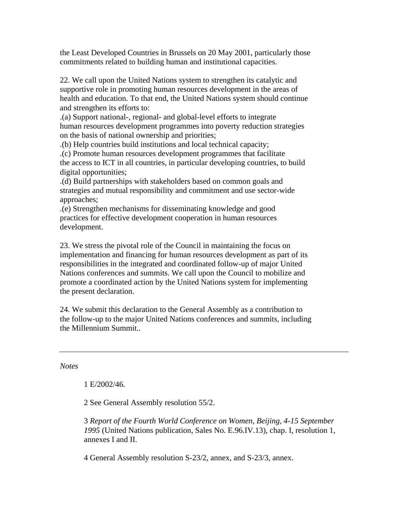the Least Developed Countries in Brussels on 20 May 2001, particularly those commitments related to building human and institutional capacities.

22. We call upon the United Nations system to strengthen its catalytic and supportive role in promoting human resources development in the areas of health and education. To that end, the United Nations system should continue and strengthen its efforts to:

.(a) Support national-, regional- and global-level efforts to integrate human resources development programmes into poverty reduction strategies on the basis of national ownership and priorities;

.(b) Help countries build institutions and local technical capacity;

.(c) Promote human resources development programmes that facilitate the access to ICT in all countries, in particular developing countries, to build digital opportunities;

.(d) Build partnerships with stakeholders based on common goals and strategies and mutual responsibility and commitment and use sector-wide approaches;

.(e) Strengthen mechanisms for disseminating knowledge and good practices for effective development cooperation in human resources development.

23. We stress the pivotal role of the Council in maintaining the focus on implementation and financing for human resources development as part of its responsibilities in the integrated and coordinated follow-up of major United Nations conferences and summits. We call upon the Council to mobilize and promote a coordinated action by the United Nations system for implementing the present declaration.

24. We submit this declaration to the General Assembly as a contribution to the follow-up to the major United Nations conferences and summits, including the Millennium Summit..

*Notes* 

1 E/2002/46.

2 See General Assembly resolution 55/2.

3 *Report of the Fourth World Conference on Women*, *Beijing*, *4-15 September 1995* (United Nations publication, Sales No. E.96.IV.13), chap. I, resolution 1, annexes I and II.

4 General Assembly resolution S-23/2, annex, and S-23/3, annex.